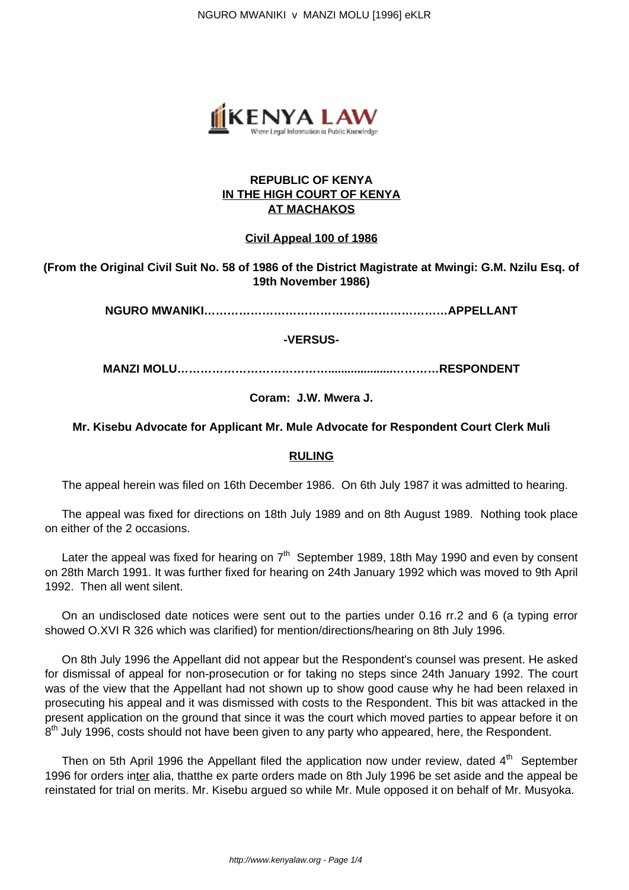NGURO MWANIKI v MANZI MOLU [1996] eKLR



## **REPUBLIC OF KENYA IN THE HIGH COURT OF KENYA AT MACHAKOS**

## **Civil Appeal 100 of 1986**

# **(From the Original Civil Suit No. 58 of 1986 of the District Magistrate at Mwingi: G.M. Nzilu Esq. of 19th November 1986)**

**NGURO MWANIKI………………………………………………………APPELLANT**

**-VERSUS-**

**MANZI MOLU…………………………………....................…………RESPONDENT**

## **Coram: J.W. Mwera J.**

#### **Mr. Kisebu Advocate for Applicant Mr. Mule Advocate for Respondent Court Clerk Muli**

#### **RULING**

The appeal herein was filed on 16th December 1986. On 6th July 1987 it was admitted to hearing.

The appeal was fixed for directions on 18th July 1989 and on 8th August 1989. Nothing took place on either of the 2 occasions.

Later the appeal was fixed for hearing on 7<sup>th</sup> September 1989, 18th May 1990 and even by consent on 28th March 1991. It was further fixed for hearing on 24th January 1992 which was moved to 9th April 1992. Then all went silent.

On an undisclosed date notices were sent out to the parties under 0.16 rr.2 and 6 (a typing error showed O.XVI R 326 which was clarified) for mention/directions/hearing on 8th July 1996.

On 8th July 1996 the Appellant did not appear but the Respondent's counsel was present. He asked for dismissal of appeal for non-prosecution or for taking no steps since 24th January 1992. The court was of the view that the Appellant had not shown up to show good cause why he had been relaxed in prosecuting his appeal and it was dismissed with costs to the Respondent. This bit was attacked in the present application on the ground that since it was the court which moved parties to appear before it on 8<sup>th</sup> July 1996, costs should not have been given to any party who appeared, here, the Respondent.

Then on 5th April 1996 the Appellant filed the application now under review, dated  $4<sup>th</sup>$  September 1996 for orders inter alia, thatthe ex parte orders made on 8th July 1996 be set aside and the appeal be reinstated for trial on merits. Mr. Kisebu argued so while Mr. Mule opposed it on behalf of Mr. Musyoka.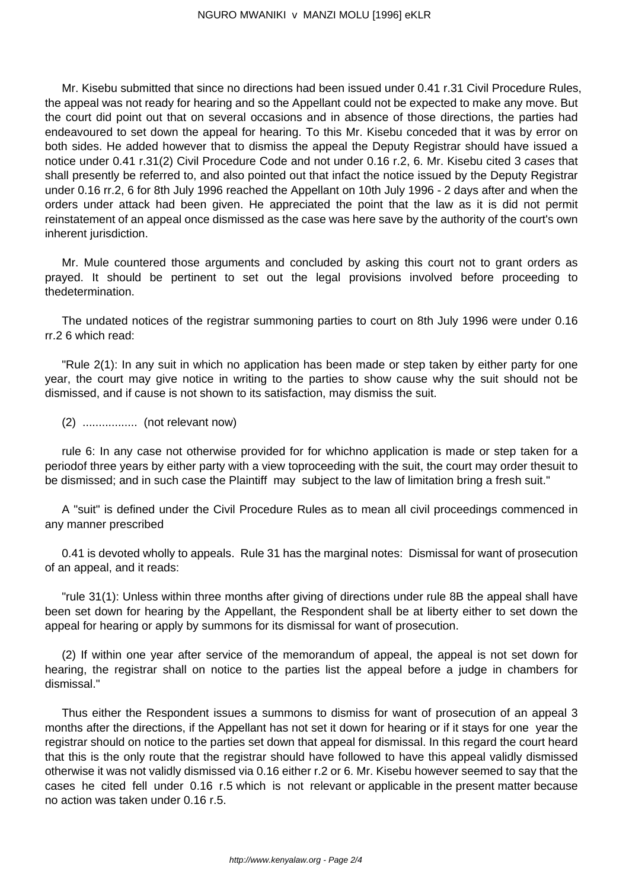Mr. Kisebu submitted that since no directions had been issued under 0.41 r.31 Civil Procedure Rules, the appeal was not ready for hearing and so the Appellant could not be expected to make any move. But the court did point out that on several occasions and in absence of those directions, the parties had endeavoured to set down the appeal for hearing. To this Mr. Kisebu conceded that it was by error on both sides. He added however that to dismiss the appeal the Deputy Registrar should have issued a notice under 0.41 r.31(2) Civil Procedure Code and not under 0.16 r.2, 6. Mr. Kisebu cited 3 cases that shall presently be referred to, and also pointed out that infact the notice issued by the Deputy Registrar under 0.16 rr.2, 6 for 8th July 1996 reached the Appellant on 10th July 1996 - 2 days after and when the orders under attack had been given. He appreciated the point that the law as it is did not permit reinstatement of an appeal once dismissed as the case was here save by the authority of the court's own inherent jurisdiction.

Mr. Mule countered those arguments and concluded by asking this court not to grant orders as prayed. It should be pertinent to set out the legal provisions involved before proceeding to thedetermination.

The undated notices of the registrar summoning parties to court on 8th July 1996 were under 0.16 rr.2 6 which read:

"Rule 2(1): In any suit in which no application has been made or step taken by either party for one year, the court may give notice in writing to the parties to show cause why the suit should not be dismissed, and if cause is not shown to its satisfaction, may dismiss the suit.

(2) ................. (not relevant now)

rule 6: In any case not otherwise provided for for whichno application is made or step taken for a periodof three years by either party with a view toproceeding with the suit, the court may order thesuit to be dismissed; and in such case the Plaintiff may subject to the law of limitation bring a fresh suit."

A "suit" is defined under the Civil Procedure Rules as to mean all civil proceedings commenced in any manner prescribed

0.41 is devoted wholly to appeals. Rule 31 has the marginal notes: Dismissal for want of prosecution of an appeal, and it reads:

"rule 31(1): Unless within three months after giving of directions under rule 8B the appeal shall have been set down for hearing by the Appellant, the Respondent shall be at liberty either to set down the appeal for hearing or apply by summons for its dismissal for want of prosecution.

(2) If within one year after service of the memorandum of appeal, the appeal is not set down for hearing, the registrar shall on notice to the parties list the appeal before a judge in chambers for dismissal."

Thus either the Respondent issues a summons to dismiss for want of prosecution of an appeal 3 months after the directions, if the Appellant has not set it down for hearing or if it stays for one year the registrar should on notice to the parties set down that appeal for dismissal. In this regard the court heard that this is the only route that the registrar should have followed to have this appeal validly dismissed otherwise it was not validly dismissed via 0.16 either r.2 or 6. Mr. Kisebu however seemed to say that the cases he cited fell under 0.16 r.5 which is not relevant or applicable in the present matter because no action was taken under 0.16 r.5.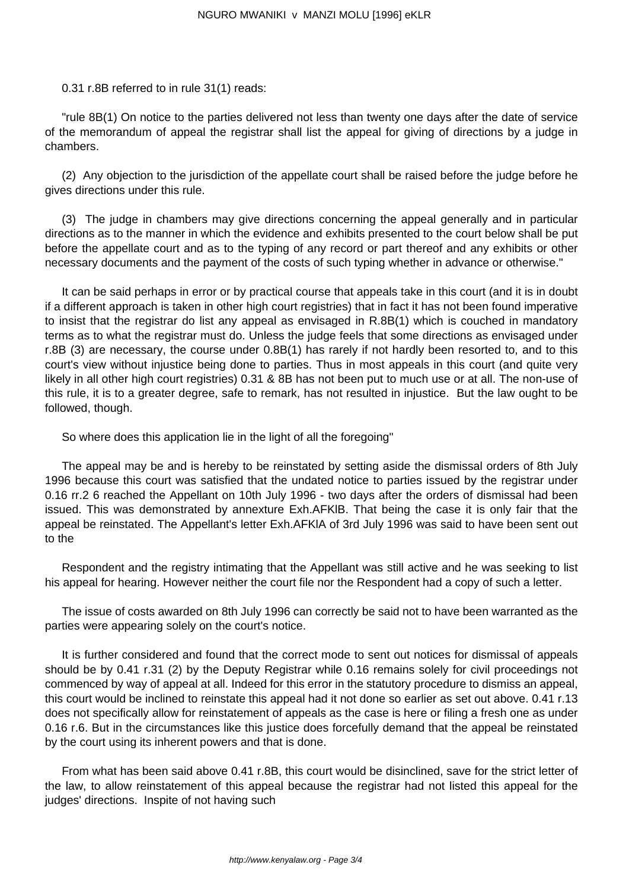0.31 r.8B referred to in rule 31(1) reads:

"rule 8B(1) On notice to the parties delivered not less than twenty one days after the date of service of the memorandum of appeal the registrar shall list the appeal for giving of directions by a judge in chambers.

(2) Any objection to the jurisdiction of the appellate court shall be raised before the judge before he gives directions under this rule.

(3) The judge in chambers may give directions concerning the appeal generally and in particular directions as to the manner in which the evidence and exhibits presented to the court below shall be put before the appellate court and as to the typing of any record or part thereof and any exhibits or other necessary documents and the payment of the costs of such typing whether in advance or otherwise."

It can be said perhaps in error or by practical course that appeals take in this court (and it is in doubt if a different approach is taken in other high court registries) that in fact it has not been found imperative to insist that the registrar do list any appeal as envisaged in R.8B(1) which is couched in mandatory terms as to what the registrar must do. Unless the judge feels that some directions as envisaged under r.8B (3) are necessary, the course under 0.8B(1) has rarely if not hardly been resorted to, and to this court's view without injustice being done to parties. Thus in most appeals in this court (and quite very likely in all other high court registries) 0.31 & 8B has not been put to much use or at all. The non-use of this rule, it is to a greater degree, safe to remark, has not resulted in injustice. But the law ought to be followed, though.

So where does this application lie in the light of all the foregoing"

The appeal may be and is hereby to be reinstated by setting aside the dismissal orders of 8th July 1996 because this court was satisfied that the undated notice to parties issued by the registrar under 0.16 rr.2 6 reached the Appellant on 10th July 1996 - two days after the orders of dismissal had been issued. This was demonstrated by annexture Exh.AFKlB. That being the case it is only fair that the appeal be reinstated. The Appellant's letter Exh.AFKlA of 3rd July 1996 was said to have been sent out to the

Respondent and the registry intimating that the Appellant was still active and he was seeking to list his appeal for hearing. However neither the court file nor the Respondent had a copy of such a letter.

The issue of costs awarded on 8th July 1996 can correctly be said not to have been warranted as the parties were appearing solely on the court's notice.

It is further considered and found that the correct mode to sent out notices for dismissal of appeals should be by 0.41 r.31 (2) by the Deputy Registrar while 0.16 remains solely for civil proceedings not commenced by way of appeal at all. Indeed for this error in the statutory procedure to dismiss an appeal, this court would be inclined to reinstate this appeal had it not done so earlier as set out above. 0.41 r.13 does not specifically allow for reinstatement of appeals as the case is here or filing a fresh one as under 0.16 r.6. But in the circumstances like this justice does forcefully demand that the appeal be reinstated by the court using its inherent powers and that is done.

From what has been said above 0.41 r.8B, this court would be disinclined, save for the strict letter of the law, to allow reinstatement of this appeal because the registrar had not listed this appeal for the judges' directions. Inspite of not having such